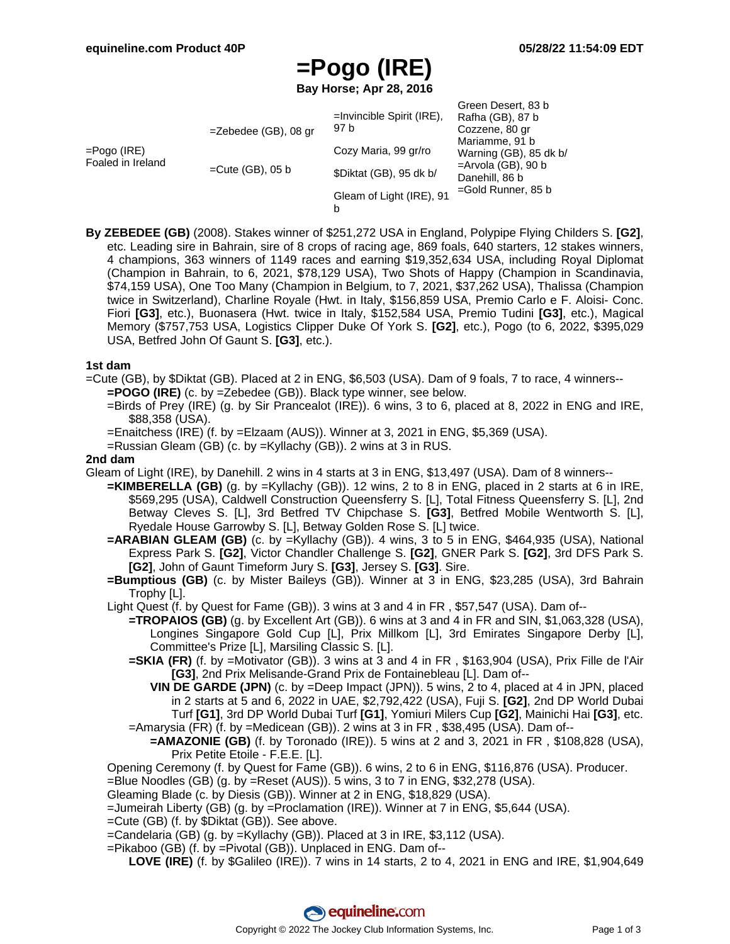## **=Pogo (IRE)**

**Bay Horse; Apr 28, 2016**

| =Pogo (IRE)<br>Foaled in Ireland | $=$ Zebedee (GB), 08 gr | $=$ Invincible Spirit (IRE),<br>97 b | Green Desert, 83 b<br>Rafha (GB), 87 b<br>Cozzene, 80 gr<br>Mariamme, 91 b<br>Warning (GB), 85 dk b/ |
|----------------------------------|-------------------------|--------------------------------------|------------------------------------------------------------------------------------------------------|
|                                  |                         | Cozy Maria, 99 gr/ro                 |                                                                                                      |
|                                  | $=$ Cute (GB), 05 b     | \$Diktat (GB), 95 dk b/              | $=$ Arvola (GB), 90 b<br>Danehill, 86 b                                                              |
|                                  |                         | Gleam of Light (IRE), 91<br>b        | $=$ Gold Runner, 85 b                                                                                |

**By ZEBEDEE (GB)** (2008). Stakes winner of \$251,272 USA in England, Polypipe Flying Childers S. **[G2]**, etc. Leading sire in Bahrain, sire of 8 crops of racing age, 869 foals, 640 starters, 12 stakes winners, 4 champions, 363 winners of 1149 races and earning \$19,352,634 USA, including Royal Diplomat (Champion in Bahrain, to 6, 2021, \$78,129 USA), Two Shots of Happy (Champion in Scandinavia, \$74,159 USA), One Too Many (Champion in Belgium, to 7, 2021, \$37,262 USA), Thalissa (Champion twice in Switzerland), Charline Royale (Hwt. in Italy, \$156,859 USA, Premio Carlo e F. Aloisi- Conc. Fiori **[G3]**, etc.), Buonasera (Hwt. twice in Italy, \$152,584 USA, Premio Tudini **[G3]**, etc.), Magical Memory (\$757,753 USA, Logistics Clipper Duke Of York S. **[G2]**, etc.), Pogo (to 6, 2022, \$395,029 USA, Betfred John Of Gaunt S. **[G3]**, etc.).

#### **1st dam**

=Cute (GB), by \$Diktat (GB). Placed at 2 in ENG, \$6,503 (USA). Dam of 9 foals, 7 to race, 4 winners--

- **=POGO (IRE)** (c. by =Zebedee (GB)). Black type winner, see below.
- =Birds of Prey (IRE) (g. by Sir Prancealot (IRE)). 6 wins, 3 to 6, placed at 8, 2022 in ENG and IRE, \$88,358 (USA).
- =Enaitchess (IRE) (f. by =Elzaam (AUS)). Winner at 3, 2021 in ENG, \$5,369 (USA).
- =Russian Gleam (GB) (c. by =Kyllachy (GB)). 2 wins at 3 in RUS.

#### **2nd dam**

- Gleam of Light (IRE), by Danehill. 2 wins in 4 starts at 3 in ENG, \$13,497 (USA). Dam of 8 winners--
	- **=KIMBERELLA (GB)** (g. by =Kyllachy (GB)). 12 wins, 2 to 8 in ENG, placed in 2 starts at 6 in IRE, \$569,295 (USA), Caldwell Construction Queensferry S. [L], Total Fitness Queensferry S. [L], 2nd Betway Cleves S. [L], 3rd Betfred TV Chipchase S. **[G3]**, Betfred Mobile Wentworth S. [L], Ryedale House Garrowby S. [L], Betway Golden Rose S. [L] twice.
	- **=ARABIAN GLEAM (GB)** (c. by =Kyllachy (GB)). 4 wins, 3 to 5 in ENG, \$464,935 (USA), National Express Park S. **[G2]**, Victor Chandler Challenge S. **[G2]**, GNER Park S. **[G2]**, 3rd DFS Park S. **[G2]**, John of Gaunt Timeform Jury S. **[G3]**, Jersey S. **[G3]**. Sire.
	- **=Bumptious (GB)** (c. by Mister Baileys (GB)). Winner at 3 in ENG, \$23,285 (USA), 3rd Bahrain Trophy [L].
	- Light Quest (f. by Quest for Fame (GB)). 3 wins at 3 and 4 in FR , \$57,547 (USA). Dam of--
		- **=TROPAIOS (GB)** (g. by Excellent Art (GB)). 6 wins at 3 and 4 in FR and SIN, \$1,063,328 (USA), Longines Singapore Gold Cup [L], Prix Millkom [L], 3rd Emirates Singapore Derby [L], Committee's Prize [L], Marsiling Classic S. [L].
		- **=SKIA (FR)** (f. by =Motivator (GB)). 3 wins at 3 and 4 in FR , \$163,904 (USA), Prix Fille de l'Air **[G3]**, 2nd Prix Melisande-Grand Prix de Fontainebleau [L]. Dam of--
		- **VIN DE GARDE (JPN)** (c. by =Deep Impact (JPN)). 5 wins, 2 to 4, placed at 4 in JPN, placed in 2 starts at 5 and 6, 2022 in UAE, \$2,792,422 (USA), Fuji S. **[G2]**, 2nd DP World Dubai Turf **[G1]**, 3rd DP World Dubai Turf **[G1]**, Yomiuri Milers Cup **[G2]**, Mainichi Hai **[G3]**, etc. =Amarysia (FR) (f. by =Medicean (GB)). 2 wins at 3 in FR , \$38,495 (USA). Dam of--
		- **=AMAZONIE (GB)** (f. by Toronado (IRE)). 5 wins at 2 and 3, 2021 in FR, \$108,828 (USA), Prix Petite Etoile - F.E.E. [L].

Opening Ceremony (f. by Quest for Fame (GB)). 6 wins, 2 to 6 in ENG, \$116,876 (USA). Producer.

- =Blue Noodles (GB) (g. by =Reset (AUS)). 5 wins, 3 to 7 in ENG, \$32,278 (USA).
- Gleaming Blade (c. by Diesis (GB)). Winner at 2 in ENG, \$18,829 (USA).
- =Jumeirah Liberty (GB) (g. by =Proclamation (IRE)). Winner at 7 in ENG, \$5,644 (USA).
- =Cute (GB) (f. by \$Diktat (GB)). See above.
- =Candelaria (GB) (g. by =Kyllachy (GB)). Placed at 3 in IRE, \$3,112 (USA).
- =Pikaboo (GB) (f. by =Pivotal (GB)). Unplaced in ENG. Dam of--
	- **LOVE (IRE)** (f. by \$Galileo (IRE)). 7 wins in 14 starts, 2 to 4, 2021 in ENG and IRE, \$1,904,649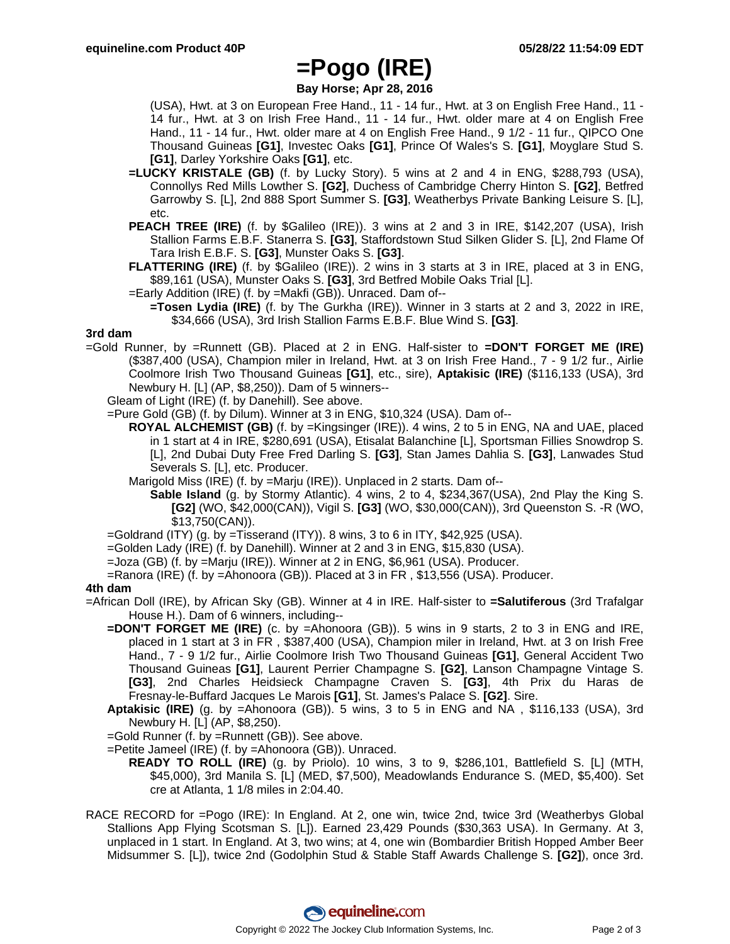### **=Pogo (IRE)**

**Bay Horse; Apr 28, 2016**

(USA), Hwt. at 3 on European Free Hand., 11 - 14 fur., Hwt. at 3 on English Free Hand., 11 - 14 fur., Hwt. at 3 on Irish Free Hand., 11 - 14 fur., Hwt. older mare at 4 on English Free Hand., 11 - 14 fur., Hwt. older mare at 4 on English Free Hand., 9 1/2 - 11 fur., QIPCO One Thousand Guineas **[G1]**, Investec Oaks **[G1]**, Prince Of Wales's S. **[G1]**, Moyglare Stud S. **[G1]**, Darley Yorkshire Oaks **[G1]**, etc.

- **=LUCKY KRISTALE (GB)** (f. by Lucky Story). 5 wins at 2 and 4 in ENG, \$288,793 (USA), Connollys Red Mills Lowther S. **[G2]**, Duchess of Cambridge Cherry Hinton S. **[G2]**, Betfred Garrowby S. [L], 2nd 888 Sport Summer S. **[G3]**, Weatherbys Private Banking Leisure S. [L], etc.
- **PEACH TREE (IRE)** (f. by \$Galileo (IRE)). 3 wins at 2 and 3 in IRE, \$142,207 (USA), Irish Stallion Farms E.B.F. Stanerra S. **[G3]**, Staffordstown Stud Silken Glider S. [L], 2nd Flame Of Tara Irish E.B.F. S. **[G3]**, Munster Oaks S. **[G3]**.
- **FLATTERING (IRE)** (f. by \$Galileo (IRE)). 2 wins in 3 starts at 3 in IRE, placed at 3 in ENG, \$89,161 (USA), Munster Oaks S. **[G3]**, 3rd Betfred Mobile Oaks Trial [L].
- =Early Addition (IRE) (f. by =Makfi (GB)). Unraced. Dam of--
	- **=Tosen Lydia (IRE)** (f. by The Gurkha (IRE)). Winner in 3 starts at 2 and 3, 2022 in IRE, \$34,666 (USA), 3rd Irish Stallion Farms E.B.F. Blue Wind S. **[G3]**.

#### **3rd dam**

- =Gold Runner, by =Runnett (GB). Placed at 2 in ENG. Half-sister to **=DON'T FORGET ME (IRE)** (\$387,400 (USA), Champion miler in Ireland, Hwt. at 3 on Irish Free Hand., 7 - 9 1/2 fur., Airlie Coolmore Irish Two Thousand Guineas **[G1]**, etc., sire), **Aptakisic (IRE)** (\$116,133 (USA), 3rd Newbury H. [L] (AP, \$8,250)). Dam of 5 winners--
	- Gleam of Light (IRE) (f. by Danehill). See above.

=Pure Gold (GB) (f. by Dilum). Winner at 3 in ENG, \$10,324 (USA). Dam of--

- **ROYAL ALCHEMIST (GB)** (f. by =Kingsinger (IRE)). 4 wins, 2 to 5 in ENG, NA and UAE, placed in 1 start at 4 in IRE, \$280,691 (USA), Etisalat Balanchine [L], Sportsman Fillies Snowdrop S. [L], 2nd Dubai Duty Free Fred Darling S. **[G3]**, Stan James Dahlia S. **[G3]**, Lanwades Stud Severals S. [L], etc. Producer.
- Marigold Miss (IRE) (f. by =Marju (IRE)). Unplaced in 2 starts. Dam of--
	- **Sable Island** (g. by Stormy Atlantic). 4 wins, 2 to 4, \$234,367(USA), 2nd Play the King S. **[G2]** (WO, \$42,000(CAN)), Vigil S. **[G3]** (WO, \$30,000(CAN)), 3rd Queenston S. -R (WO, \$13,750(CAN)).

 $=$ Goldrand (ITY) (g. by  $=$ Tisserand (ITY)). 8 wins, 3 to 6 in ITY, \$42,925 (USA).

- =Golden Lady (IRE) (f. by Danehill). Winner at 2 and 3 in ENG, \$15,830 (USA).
- =Joza (GB) (f. by =Marju (IRE)). Winner at 2 in ENG, \$6,961 (USA). Producer.
- =Ranora (IRE) (f. by =Ahonoora (GB)). Placed at 3 in FR , \$13,556 (USA). Producer.

#### **4th dam**

- =African Doll (IRE), by African Sky (GB). Winner at 4 in IRE. Half-sister to **=Salutiferous** (3rd Trafalgar House H.). Dam of 6 winners, including--
	- **=DON'T FORGET ME (IRE)** (c. by =Ahonoora (GB)). 5 wins in 9 starts, 2 to 3 in ENG and IRE, placed in 1 start at 3 in FR , \$387,400 (USA), Champion miler in Ireland, Hwt. at 3 on Irish Free Hand., 7 - 9 1/2 fur., Airlie Coolmore Irish Two Thousand Guineas **[G1]**, General Accident Two Thousand Guineas **[G1]**, Laurent Perrier Champagne S. **[G2]**, Lanson Champagne Vintage S. **[G3]**, 2nd Charles Heidsieck Champagne Craven S. **[G3]**, 4th Prix du Haras de Fresnay-le-Buffard Jacques Le Marois **[G1]**, St. James's Palace S. **[G2]**. Sire.
	- **Aptakisic (IRE)** (g. by =Ahonoora (GB)). 5 wins, 3 to 5 in ENG and NA , \$116,133 (USA), 3rd Newbury H. [L] (AP, \$8,250).
	- =Gold Runner (f. by =Runnett (GB)). See above.

=Petite Jameel (IRE) (f. by =Ahonoora (GB)). Unraced.

- **READY TO ROLL (IRE)** (g. by Priolo). 10 wins, 3 to 9, \$286,101, Battlefield S. [L] (MTH, \$45,000), 3rd Manila S. [L] (MED, \$7,500), Meadowlands Endurance S. (MED, \$5,400). Set cre at Atlanta, 1 1/8 miles in 2:04.40.
- RACE RECORD for =Pogo (IRE): In England. At 2, one win, twice 2nd, twice 3rd (Weatherbys Global Stallions App Flying Scotsman S. [L]). Earned 23,429 Pounds (\$30,363 USA). In Germany. At 3, unplaced in 1 start. In England. At 3, two wins; at 4, one win (Bombardier British Hopped Amber Beer Midsummer S. [L]), twice 2nd (Godolphin Stud & Stable Staff Awards Challenge S. **[G2]**), once 3rd.